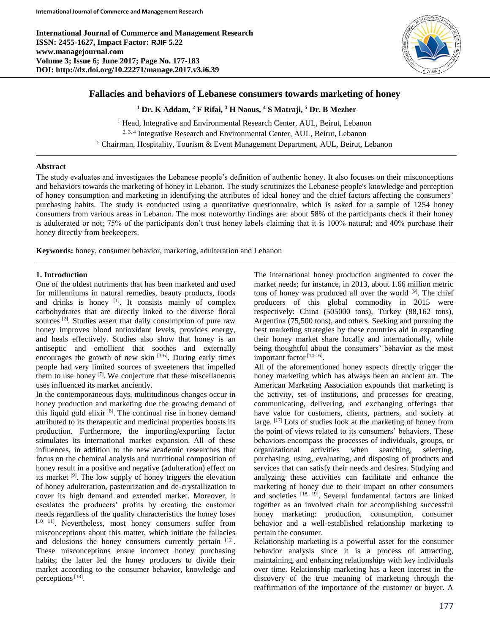**International Journal of Commerce and Management Research ISSN: 2455-1627, Impact Factor: RJIF 5.22 www.managejournal.com Volume 3; Issue 6; June 2017; Page No. 177-183 DOI: http://dx.doi.org/10.22271/manage.2017.v3.i6.39**



# **Fallacies and behaviors of Lebanese consumers towards marketing of honey**

**<sup>1</sup> Dr. K Addam, <sup>2</sup> F Rifai, <sup>3</sup> H Naous, <sup>4</sup> S Matraji, <sup>5</sup> Dr. B Mezher**

<sup>1</sup> Head, Integrative and Environmental Research Center, AUL, Beirut, Lebanon  $2, 3, 4$  Integrative Research and Environmental Center, AUL, Beirut, Lebanon <sup>5</sup> Chairman, Hospitality, Tourism & Event Management Department, AUL, Beirut, Lebanon

## **Abstract**

The study evaluates and investigates the Lebanese people's definition of authentic honey. It also focuses on their misconceptions and behaviors towards the marketing of honey in Lebanon. The study scrutinizes the Lebanese people's knowledge and perception of honey consumption and marketing in identifying the attributes of ideal honey and the chief factors affecting the consumers' purchasing habits. The study is conducted using a quantitative questionnaire, which is asked for a sample of 1254 honey consumers from various areas in Lebanon. The most noteworthy findings are: about 58% of the participants check if their honey is adulterated or not; 75% of the participants don't trust honey labels claiming that it is 100% natural; and 40% purchase their honey directly from beekeepers.

**Keywords:** honey, consumer behavior, marketing, adulteration and Lebanon

# **1. Introduction**

One of the oldest nutriments that has been marketed and used for millenniums in natural remedies, beauty products, foods and drinks is honey [1]. It consists mainly of complex carbohydrates that are directly linked to the diverse floral sources<sup>[2]</sup>. Studies assert that daily consumption of pure raw honey improves blood antioxidant levels, provides energy, and heals effectively. Studies also show that honey is an antiseptic and emollient that soothes and externally encourages the growth of new skin  $[3-6]$ . During early times people had very limited sources of sweeteners that impelled them to use honey  $[7]$ . We conjecture that these miscellaneous uses influenced its market anciently.

In the contemporaneous days, multitudinous changes occur in honey production and marketing due the growing demand of this liquid gold elixir<sup>[8]</sup>. The continual rise in honey demand attributed to its therapeutic and medicinal properties boosts its production. Furthermore, the importing/exporting factor stimulates its international market expansion. All of these influences, in addition to the new academic researches that focus on the chemical analysis and nutritional composition of honey result in a positive and negative (adulteration) effect on its market <sup>[9]</sup>. The low supply of honey triggers the elevation of honey adulteration, pasteurization and de-crystallization to cover its high demand and extended market. Moreover, it escalates the producers' profits by creating the customer needs regardless of the quality characteristics the honey loses [10 11] . Nevertheless, most honey consumers suffer from misconceptions about this matter, which initiate the fallacies and delusions the honey consumers currently pertain [12]. These misconceptions ensue incorrect honey purchasing habits; the latter led the honey producers to divide their market according to the consumer behavior, knowledge and perceptions<sup>[13]</sup>.

The international honey production augmented to cover the market needs; for instance, in 2013, about 1.66 million metric tons of honey was produced all over the world <sup>[9]</sup>. The chief producers of this global commodity in 2015 were respectively: China (505000 tons), Turkey (88,162 tons), Argentina (75,500 tons), and others. Seeking and pursuing the best marketing strategies by these countries aid in expanding their honey market share locally and internationally, while being thoughtful about the consumers' behavior as the most important factor<sup>[14-16]</sup>.

All of the aforementioned honey aspects directly trigger the honey marketing which has always been an ancient art. The American Marketing Association expounds that marketing is the activity, set of institutions, and processes for creating, communicating, delivering, and exchanging offerings that have value for customers, clients, partners, and society at large. [17] Lots of studies look at the marketing of honey from the point of views related to its consumers' behaviors. These behaviors encompass the processes of individuals, groups, or organizational activities when searching, selecting, purchasing, using, evaluating, and disposing of products and services that can satisfy their needs and desires. Studying and analyzing these activities can facilitate and enhance the marketing of honey due to their impact on other consumers and societies [18, 19]. Several fundamental factors are linked together as an involved chain for accomplishing successful honey marketing: production, consumption, consumer behavior and a well-established relationship marketing to pertain the consumer.

Relationship marketing is a powerful asset for the consumer behavior analysis since it is a process of attracting, maintaining, and enhancing relationships with key individuals over time. Relationship marketing has a keen interest in the discovery of the true meaning of marketing through the reaffirmation of the importance of the customer or buyer. A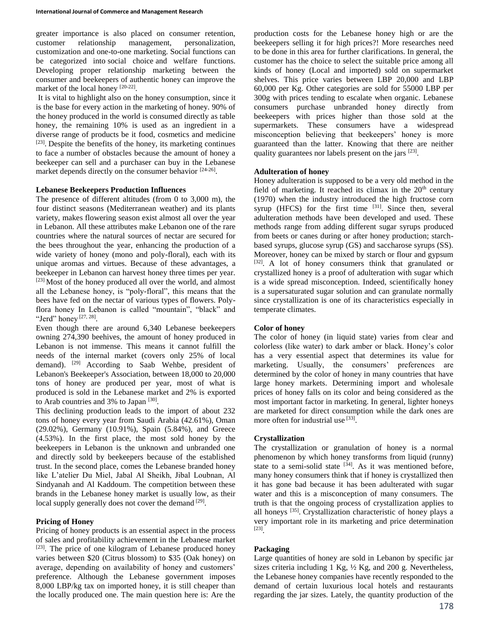greater importance is also placed on consumer retention, customer relationship management, personalization, customization and one-to-one marketing. Social functions can be categorized into social choice and welfare functions. Developing proper relationship marketing between the consumer and beekeepers of authentic honey can improve the market of the local honey [20-22].

It is vital to highlight also on the honey consumption, since it is the base for every action in the marketing of honey. 90% of the honey produced in the world is consumed directly as table honey, the remaining 10% is used as an ingredient in a diverse range of products be it food, cosmetics and medicine [23] . Despite the benefits of the honey, its marketing continues to face a number of obstacles because the amount of honey a beekeeper can sell and a purchaser can buy in the Lebanese market depends directly on the consumer behavior [24-26].

## **Lebanese Beekeepers Production Influences**

The presence of different altitudes (from 0 to 3,000 m), the four distinct seasons (Mediterranean weather) and its plants variety, makes flowering season exist almost all over the year in Lebanon. All these attributes make Lebanon one of the rare countries where the natural sources of nectar are secured for the bees throughout the year, enhancing the production of a wide variety of honey (mono and poly-floral), each with its unique aromas and virtues. Because of these advantages, a beekeeper in Lebanon can harvest honey three times per year. [23] Most of the honey produced all over the world, and almost all the Lebanese honey, is "poly-floral", this means that the bees have fed on the nectar of various types of flowers. Polyflora honey In Lebanon is called "mountain", "black" and "Jerd" honey<sup>[27, 28]</sup>.

Even though there are around 6,340 Lebanese beekeepers owning 274,390 beehives, the amount of honey produced in Lebanon is not immense. This means it cannot fulfill the needs of the internal market (covers only 25% of local demand). <sup>[29]</sup> According to Saab Wehbe, president of Lebanon's Beekeeper's Association, between 18,000 to 20,000 tons of honey are produced per year, most of what is produced is sold in the Lebanese market and 2% is exported to Arab countries and 3% to Japan  $[30]$ .

This declining production leads to the import of about 232 tons of honey every year from Saudi Arabia (42.61%), Oman (29.02%), Germany (10.91%), Spain (5.84%), and Greece (4.53%). In the first place, the most sold honey by the beekeepers in Lebanon is the unknown and unbranded one and directly sold by beekeepers because of the established trust. In the second place, comes the Lebanese branded honey like L'atelier Du Miel, Jabal Al Sheikh, Jibal Loubnan, Al Sindyanah and Al Kaddoum. The competition between these brands in the Lebanese honey market is usually low, as their local supply generally does not cover the demand [29].

### **Pricing of Honey**

Pricing of honey products is an essential aspect in the process of sales and profitability achievement in the Lebanese market [23]. The price of one kilogram of Lebanese produced honey varies between \$20 (Citrus blossom) to \$35 (Oak honey) on average, depending on availability of honey and customers' preference. Although the Lebanese government imposes 8,000 LBP/kg tax on imported honey, it is still cheaper than the locally produced one. The main question here is: Are the

production costs for the Lebanese honey high or are the beekeepers selling it for high prices?! More researches need to be done in this area for further clarifications. In general, the customer has the choice to select the suitable price among all kinds of honey (Local and imported) sold on supermarket shelves. This price varies between LBP 20,000 and LBP 60,000 per Kg. Other categories are sold for 55000 LBP per 300g with prices tending to escalate when organic. Lebanese consumers purchase unbranded honey directly from beekeepers with prices higher than those sold at the supermarkets. These consumers have a widespread misconception believing that beekeepers' honey is more guaranteed than the latter. Knowing that there are neither quality guarantees nor labels present on the jars [23].

## **Adulteration of honey**

Honey adulteration is supposed to be a very old method in the field of marketing. It reached its climax in the  $20<sup>th</sup>$  century (1970) when the industry introduced the high fructose corn syrup (HFCS) for the first time  $[31]$ . Since then, several adulteration methods have been developed and used. These methods range from adding different sugar syrups produced from beets or canes during or after honey production; starchbased syrups, glucose syrup (GS) and saccharose syrups (SS). Moreover, honey can be mixed by starch or flour and gypsum [32]. A lot of honey consumers think that granulated or crystallized honey is a proof of adulteration with sugar which is a wide spread misconception. Indeed, scientifically honey is a supersaturated sugar solution and can granulate normally since crystallization is one of its characteristics especially in temperate climates.

### **Color of honey**

The color of honey (in liquid state) varies from clear and colorless (like water) to dark amber or black. Honey's color has a very essential aspect that determines its value for marketing. Usually, the consumers' preferences are determined by the color of honey in many countries that have large honey markets. Determining import and wholesale prices of honey falls on its color and being considered as the most important factor in marketing. In general, lighter honeys are marketed for direct consumption while the dark ones are more often for industrial use [33].

### **Crystallization**

The crystallization or granulation of honey is a normal phenomenon by which honey transforms from liquid (runny) state to a semi-solid state  $[34]$ . As it was mentioned before, many honey consumers think that if honey is crystallized then it has gone bad because it has been adulterated with sugar water and this is a misconception of many consumers. The truth is that the ongoing process of crystallization applies to all honeys<sup>[35]</sup>. Crystallization characteristic of honey plays a very important role in its marketing and price determination [23] .

### **Packaging**

Large quantities of honey are sold in Lebanon by specific jar sizes criteria including 1 Kg, ½ Kg, and 200 g. Nevertheless, the Lebanese honey companies have recently responded to the demand of certain luxurious local hotels and restaurants regarding the jar sizes. Lately, the quantity production of the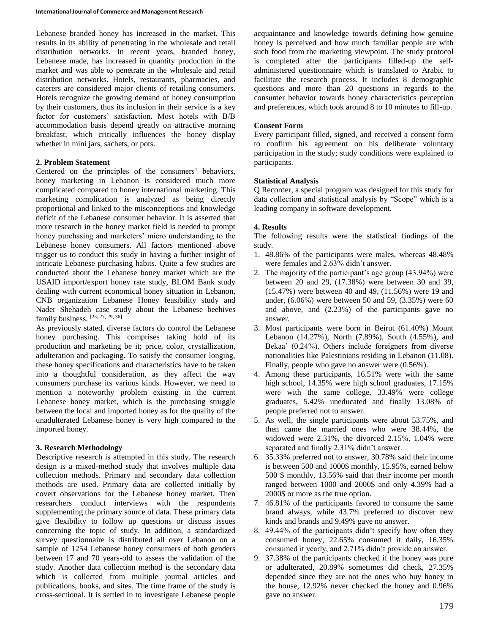Lebanese branded honey has increased in the market. This results in its ability of penetrating in the wholesale and retail distribution networks. In recent years, branded honey, Lebanese made, has increased in quantity production in the market and was able to penetrate in the wholesale and retail distribution networks. Hotels, restaurants, pharmacies, and caterers are considered major clients of retailing consumers. Hotels recognize the growing demand of honey consumption by their customers, thus its inclusion in their service is a key factor for customers' satisfaction. Most hotels with B/B accommodation basis depend greatly on attractive morning breakfast, which critically influences the honey display whether in mini jars, sachets, or pots.

## **2. Problem Statement**

Centered on the principles of the consumers' behaviors, honey marketing in Lebanon is considered much more complicated compared to honey international marketing. This marketing complication is analyzed as being directly proportional and linked to the misconceptions and knowledge deficit of the Lebanese consumer behavior. It is asserted that more research in the honey market field is needed to prompt honey purchasing and marketers' micro understanding to the Lebanese honey consumers. All factors mentioned above trigger us to conduct this study in having a further insight of intricate Lebanese purchasing habits. Quite a few studies are conducted about the Lebanese honey market which are the USAID import/export honey rate study, BLOM Bank study dealing with current economical honey situation in Lebanon, CNB organization Lebanese Honey feasibility study and Nader Shehadeh case study about the Lebanese beehives family business. [23, 27, 29, 36]

As previously stated, diverse factors do control the Lebanese honey purchasing. This comprises taking hold of its production and marketing be it; price, color, crystallization, adulteration and packaging. To satisfy the consumer longing, these honey specifications and characteristics have to be taken into a thoughtful consideration, as they affect the way consumers purchase its various kinds. However, we need to mention a noteworthy problem existing in the current Lebanese honey market, which is the purchasing struggle between the local and imported honey as for the quality of the unadulterated Lebanese honey is very high compared to the imported honey.

## **3. Research Methodology**

Descriptive research is attempted in this study. The research design is a mixed-method study that involves multiple data collection methods. Primary and secondary data collection methods are used. Primary data are collected initially by covert observations for the Lebanese honey market. Then researchers conduct interviews with the respondents supplementing the primary source of data. These primary data give flexibility to follow up questions or discuss issues concerning the topic of study. In addition, a standardized survey questionnaire is distributed all over Lebanon on a sample of 1254 Lebanese honey consumers of both genders between 17 and 70 years-old to assess the validation of the study. Another data collection method is the secondary data which is collected from multiple journal articles and publications, books, and sites. The time frame of the study is cross-sectional. It is settled in to investigate Lebanese people

acquaintance and knowledge towards defining how genuine honey is perceived and how much familiar people are with such food from the marketing viewpoint. The study protocol is completed after the participants filled-up the selfadministered questionnaire which is translated to Arabic to facilitate the research process. It includes 8 demographic questions and more than 20 questions in regards to the consumer behavior towards honey characteristics perception and preferences, which took around 8 to 10 minutes to fill-up.

## **Consent Form**

Every participant filled, signed, and received a consent form to confirm his agreement on his deliberate voluntary participation in the study; study conditions were explained to participants.

## **Statistical Analysis**

Q Recorder, a special program was designed for this study for data collection and statistical analysis by "Scope" which is a leading company in software development.

## **4. Results**

The following results were the statistical findings of the study.

- 1. 48.86% of the participants were males, whereas 48.48% were females and 2.63% didn't answer.
- 2. The majority of the participant's age group (43.94%) were between 20 and 29, (17.38%) were between 30 and 39, (15.47%) were between 40 and 49, (11.56%) were 19 and under, (6.06%) were between 50 and 59, (3.35%) were 60 and above, and (2.23%) of the participants gave no answer.
- 3. Most participants were born in Beirut (61.40%) Mount Lebanon (14.27%), North (7.89%), South (4.55%), and Bekaa' (0.24%). Others include foreigners from diverse nationalities like Palestinians residing in Lebanon (11.08). Finally, people who gave no answer were (0.56%).
- 4. Among these participants, 16.51% were with the same high school, 14.35% were high school graduates, 17.15% were with the same college, 33.49% were college graduates, 5.42% uneducated and finally 13.08% of people preferred not to answer.
- 5. As well, the single participants were about 53.75%, and then came the married ones who were 38.44%, the widowed were 2.31%, the divorced 2.15%, 1.04% were separated and finally 2.31% didn't answer.
- 6. 35.33% preferred not to answer, 30.78% said their income is between 500 and 1000\$ monthly, 15.95%, earned below 500 \$ monthly, 13.56% said that their income per month ranged between 1000 and 2000\$ and only 4.39% had a 2000\$ or more as the true option.
- 7. 46.81% of the participants favored to consume the same brand always, while 43.7% preferred to discover new kinds and brands and 9.49% gave no answer.
- 8. 49.44% of the participants didn't specify how often they consumed honey, 22.65% consumed it daily, 16.35% consumed it yearly, and 2.71% didn't provide an answer.
- 9. 37.38% of the participants checked if the honey was pure or adulterated, 20.89% sometimes did check, 27.35% depended since they are not the ones who buy honey in the house, 12.92% never checked the honey and 0.96% gave no answer.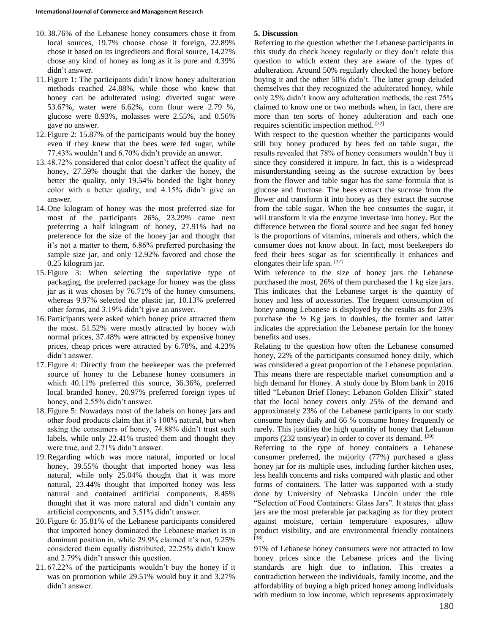- 10. 38.76% of the Lebanese honey consumers chose it from local sources, 19.7% choose chose it foreign, 22.89% chose it based on its ingredients and floral source, 14.27% chose any kind of honey as long as it is pure and 4.39% didn't answer.
- 11. Figure 1: The participants didn't know honey adulteration methods reached 24.88%, while those who knew that honey can be adulterated using: diverted sugar were 53.67%, water were 6.62%, corn flour were 2.79 %, glucose were 8.93%, molasses were 2.55%, and 0.56% gave no answer.
- 12. Figure 2: 15.87% of the participants would buy the honey even if they knew that the bees were fed sugar, while 77.43% wouldn't and 6.70% didn't provide an answer.
- 13. 48.72% considered that color doesn't affect the quality of honey, 27.59% thought that the darker the honey, the better the quality, only 19.54% bonded the light honey color with a better quality, and 4.15% didn't give an answer.
- 14. One kilogram of honey was the most preferred size for most of the participants 26%, 23.29% came next preferring a half kilogram of honey, 27.91% had no preference for the size of the honey jar and thought that it's not a matter to them, 6.86% preferred purchasing the sample size jar, and only 12.92% favored and chose the 0.25 kilogram jar.
- 15. Figure 3: When selecting the superlative type of packaging, the preferred package for honey was the glass jar as it was chosen by 76.71% of the honey consumers, whereas 9.97% selected the plastic jar, 10.13% preferred other forms, and 3.19% didn't give an answer.
- 16. Participants were asked which honey price attracted them the most. 51.52% were mostly attracted by honey with normal prices, 37.48% were attracted by expensive honey prices, cheap prices were attracted by 6.78%, and 4.23% didn't answer.
- 17. Figure 4: Directly from the beekeeper was the preferred source of honey to the Lebanese honey consumers in which 40.11% preferred this source, 36.36%, preferred local branded honey, 20.97% preferred foreign types of honey, and 2.55% didn't answer.
- 18. Figure 5: Nowadays most of the labels on honey jars and other food products claim that it's 100% natural, but when asking the consumers of honey, 74.88% didn't trust such labels, while only 22.41% trusted them and thought they were true, and 2.71% didn't answer.
- 19.Regarding which was more natural, imported or local honey, 39.55% thought that imported honey was less natural, while only 25.04% thought that it was more natural, 23.44% thought that imported honey was less natural and contained artificial components, 8.45% thought that it was more natural and didn't contain any artificial components, and 3.51% didn't answer.
- 20. Figure 6: 35.81% of the Lebanese participants considered that imported honey dominated the Lebanese market is in dominant position in, while 29.9% claimed it's not, 9.25% considered them equally distributed, 22.25% didn't know and 2.79% didn't answer this question.
- 21. 67.22% of the participants wouldn't buy the honey if it was on promotion while 29.51% would buy it and 3.27% didn't answer.

# **5. Discussion**

Referring to the question whether the Lebanese participants in this study do check honey regularly or they don't relate this question to which extent they are aware of the types of adulteration. Around 50% regularly checked the honey before buying it and the other 50% didn't. The latter group deluded themselves that they recognized the adulterated honey, while only 25% didn't know any adulteration methods, the rest 75% claimed to know one or two methods when, in fact, there are more than ten sorts of honey adulteration and each one requires scientific inspection method. [32]

With respect to the question whether the participants would still buy honey produced by bees fed on table sugar, the results revealed that 78% of honey consumers wouldn't buy it since they considered it impure. In fact, this is a widespread misunderstanding seeing as the sucrose extraction by bees from the flower and table sugar has the same formula that is glucose and fructose. The bees extract the sucrose from the flower and transform it into honey as they extract the sucrose from the table sugar. When the bee consumes the sugar, it will transform it via the enzyme invertase into honey. But the difference between the floral source and bee sugar fed honey is the proportions of vitamins, minerals and others, which the consumer does not know about. In fact, most beekeepers do feed their bees sugar as for scientifically it enhances and elongates their life span. [37]

With reference to the size of honey jars the Lebanese purchased the most, 26% of them purchased the 1 kg size jars. This indicates that the Lebanese target is the quantity of honey and less of accessories. The frequent consumption of honey among Lebanese is displayed by the results as for 23% purchase the  $\frac{1}{2}$  Kg jars in doubles, the former and latter indicates the appreciation the Lebanese pertain for the honey benefits and uses.

Relating to the question how often the Lebanese consumed honey, 22% of the participants consumed honey daily, which was considered a great proportion of the Lebanese population. This means there are respectable market consumption and a high demand for Honey. A study done by Blom bank in 2016 titled "Lebanon Brief Honey; Lebanon Golden Elixir" stated that the local honey covers only 25% of the demand and approximately 23% of the Lebanese participants in our study consume honey daily and 66 % consume honey frequently or rarely. This justifies the high quantity of honey that Lebanon imports (232 tons/year) in order to cover its demand. [29]

Referring to the type of honey containers a Lebanese consumer preferred, the majority (77%) purchased a glass honey jar for its multiple uses, including further kitchen uses, less health concerns and risks compared with plastic and other forms of containers. The latter was supported with a study done by University of Nebraska Lincoln under the title "Selection of Food Containers: Glass Jars". It states that glass jars are the most preferable jar packaging as for they protect against moisture, certain temperature exposures, allow product visibility, and are environmental friendly containers [38] .

91% of Lebanese honey consumers were not attracted to low honey prices since the Lebanese prices and the living standards are high due to inflation. This creates a contradiction between the individuals, family income, and the affordability of buying a high priced honey among individuals with medium to low income, which represents approximately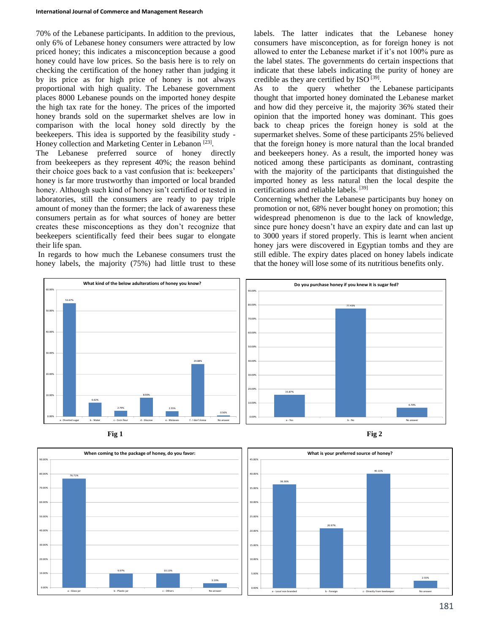70% of the Lebanese participants. In addition to the previous, only 6% of Lebanese honey consumers were attracted by low priced honey; this indicates a misconception because a good honey could have low prices. So the basis here is to rely on checking the certification of the honey rather than judging it by its price as for high price of honey is not always proportional with high quality. The Lebanese government places 8000 Lebanese pounds on the imported honey despite the high tax rate for the honey. The prices of the imported honey brands sold on the supermarket shelves are low in comparison with the local honey sold directly by the beekeepers. This idea is supported by the feasibility study - Honey collection and Marketing Center in Lebanon<sup>[23]</sup>.

The Lebanese preferred source of honey directly from beekeepers as they represent 40%; the reason behind their choice goes back to a vast confusion that is: beekeepers' honey is far more trustworthy than imported or local branded honey. Although such kind of honey isn't certified or tested in laboratories, still the consumers are ready to pay triple amount of money than the former; the lack of awareness these consumers pertain as for what sources of honey are better creates these misconceptions as they don't recognize that beekeepers scientifically feed their bees sugar to elongate their life span.

In regards to how much the Lebanese consumers trust the honey labels, the majority (75%) had little trust to these

labels. The latter indicates that the Lebanese honey consumers have misconception, as for foreign honey is not allowed to enter the Lebanese market if it's not 100% pure as the label states. The governments do certain inspections that indicate that these labels indicating the purity of honey are credible as they are certified by ISO  $^{[39]}$ .

As to the query whether the Lebanese participants thought that imported honey dominated the Lebanese market and how did they perceive it, the majority 36% stated their opinion that the imported honey was dominant. This goes back to cheap prices the foreign honey is sold at the supermarket shelves. Some of these participants 25% believed that the foreign honey is more natural than the local branded and beekeepers honey. As a result, the imported honey was noticed among these participants as dominant, contrasting with the majority of the participants that distinguished the imported honey as less natural then the local despite the certifications and reliable labels. [39]

Concerning whether the Lebanese participants buy honey on promotion or not, 68% never bought honey on promotion; this widespread phenomenon is due to the lack of knowledge, since pure honey doesn't have an expiry date and can last up to 3000 years if stored properly. This is learnt when ancient honey jars were discovered in Egyptian tombs and they are still edible. The expiry dates placed on honey labels indicate that the honey will lose some of its nutritious benefits only.







![](_page_4_Figure_10.jpeg)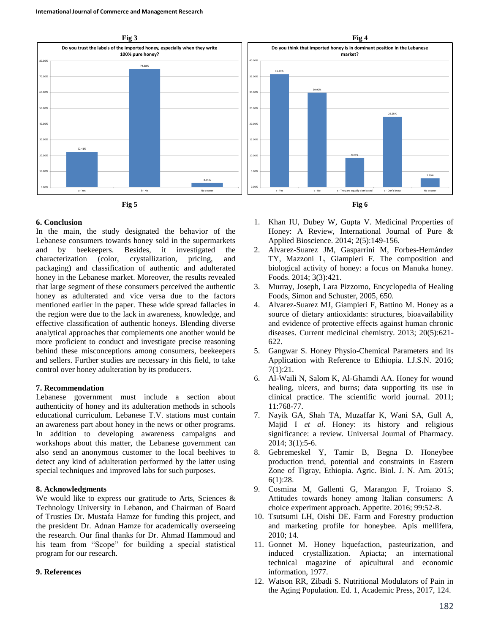![](_page_5_Figure_1.jpeg)

#### **6. Conclusion**

In the main, the study designated the behavior of the Lebanese consumers towards honey sold in the supermarkets and by beekeepers. Besides, it investigated the characterization (color, crystallization, pricing, and packaging) and classification of authentic and adulterated honey in the Lebanese market. Moreover, the results revealed that large segment of these consumers perceived the authentic honey as adulterated and vice versa due to the factors mentioned earlier in the paper. These wide spread fallacies in the region were due to the lack in awareness, knowledge, and effective classification of authentic honeys. Blending diverse analytical approaches that complements one another would be more proficient to conduct and investigate precise reasoning behind these misconceptions among consumers, beekeepers and sellers. Further studies are necessary in this field, to take control over honey adulteration by its producers.

#### **7. Recommendation**

Lebanese government must include a section about authenticity of honey and its adulteration methods in schools educational curriculum. Lebanese T.V. stations must contain an awareness part about honey in the news or other programs. In addition to developing awareness campaigns and workshops about this matter, the Lebanese government can also send an anonymous customer to the local beehives to detect any kind of adulteration performed by the latter using special techniques and improved labs for such purposes.

#### **8. Acknowledgments**

We would like to express our gratitude to Arts, Sciences & Technology University in Lebanon, and Chairman of Board of Trusties Dr. Mustafa Hamze for funding this project, and the president Dr. Adnan Hamze for academically overseeing the research. Our final thanks for Dr. Ahmad Hammoud and his team from "Scope" for building a special statistical program for our research.

#### **9. References**

- 1. Khan IU, Dubey W, Gupta V. Medicinal Properties of Honey: A Review, International Journal of Pure & Applied Bioscience. 2014; 2(5):149-156.
- 2. Alvarez-Suarez JM, Gasparrini M, Forbes-Hernández TY, Mazzoni L, Giampieri F. The composition and biological activity of honey: a focus on Manuka honey. Foods. 2014; 3(3):421.
- 3. Murray, Joseph, Lara Pizzorno, Encyclopedia of Healing Foods, Simon and Schuster, 2005, 650.
- 4. Alvarez-Suarez MJ, Giampieri F, Battino M. Honey as a source of dietary antioxidants: structures, bioavailability and evidence of protective effects against human chronic diseases. Current medicinal chemistry. 2013; 20(5):621- 622.
- 5. Gangwar S. Honey Physio-Chemical Parameters and its Application with Reference to Ethiopia. I.J.S.N. 2016; 7(1):21.
- 6. Al-Waili N, Salom K, Al-Ghamdi AA. Honey for wound healing, ulcers, and burns; data supporting its use in clinical practice. The scientific world journal. 2011; 11:768-77.
- 7. Nayik GA, Shah TA, Muzaffar K, Wani SA, Gull A, Majid I *et al*. Honey: its history and religious significance: a review. Universal Journal of Pharmacy. 2014; 3(1):5-6.
- 8. Gebremeskel Y, Tamir B, Begna D. Honeybee production trend, potential and constraints in Eastern Zone of Tigray, Ethiopia. Agric. Biol. J. N. Am. 2015; 6(1):28.
- 9. Cosmina M, Gallenti G, Marangon F, Troiano S. Attitudes towards honey among Italian consumers: A choice experiment approach. Appetite. 2016; 99:52-8.
- 10. Tsutsumi LH, Oishi DE. Farm and Forestry production and marketing profile for honeybee. Apis mellifera, 2010; 14.
- 11. Gonnet M. Honey liquefaction, pasteurization, and induced crystallization. Apiacta; an international technical magazine of apicultural and economic information, 1977.
- 12. Watson RR, Zibadi S. Nutritional Modulators of Pain in the Aging Population. Ed. 1, Academic Press, 2017, 124.